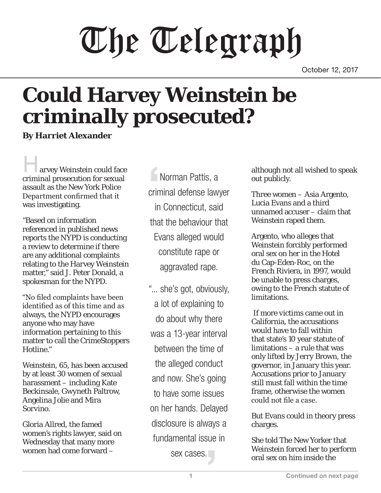## The Telegraph

October 12, 2017

## **Could Harvey Weinstein be criminally prosecuted?**

**By Harriet Alexander**

arvey Weinstein could face criminal prosecution for sexual assault as the New York Police Department confirmed that it was investigating.

"Based on information referenced in published news reports the NYPD is conducting a review to determine if there are any additional complaints relating to the Harvey Weinstein matter," said J. Peter Donald, a spokesman for the NYPD.

"No filed complaints have been identified as of this time and as always, the NYPD encourages anyone who may have information pertaining to this matter to call the CrimeStoppers Hotline."

Weinstein, 65, has been accused by at least 30 women of sexual harassment – including Kate Beckinsale, Gwyneth Paltrow, Angelina Jolie and Mira Sorvino.

Gloria Allred, the famed women's rights lawyer, said on Wednesday that many more women had come forward –

**Norman Pattis, a** criminal defense lawyer in Connecticut, said that the behaviour that Evans alleged would constitute rape or aggravated rape.

"... she's got, obviously, a lot of explaining to do about why there was a 13-year interval between the time of the alleged conduct and now. She's going to have some issues on her hands. Delayed disclosure is always a fundamental issue in sex cases.

although not all wished to speak out publicly.

Three women – Asia Argento, Lucia Evans and a third unnamed accuser – claim that Weinstein raped them.

Argento, who alleges that Weinstein forcibly performed oral sex on her in the Hotel du Cap-Eden-Roc, on the French Riviera, in 1997, would be unable to press charges, owing to the French statute of limitations.

 If more victims came out in California, the accusations would have to fall within that state's 10 year statute of limitations – a rule that was only lifted by Jerry Brown, the governor, in January this year. Accusations prior to January still must fall within the time frame, otherwise the women could not file a case.

But Evans could in theory press charges.

She told The New Yorker that Weinstein forced her to perform oral sex on him inside the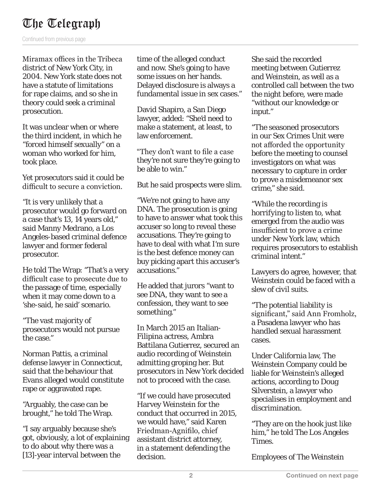## The Telegraph

Continued from previous page

Miramax offices in the Tribeca district of New York City, in 2004. New York state does not have a statute of limitations for rape claims, and so she in theory could seek a criminal prosecution.

It was unclear when or where the third incident, in which he "forced himself sexually" on a woman who worked for him, took place.

Yet prosecutors said it could be difficult to secure a conviction.

"It is very unlikely that a prosecutor would go forward on a case that's 13, 14 years old," said Manny Medrano, a Los Angeles-based criminal defence lawyer and former federal prosecutor.

He told The Wrap: "That's a very difficult case to prosecute due to the passage of time, especially when it may come down to a 'she-said, he said' scenario.

"The vast majority of prosecutors would not pursue the case."

Norman Pattis, a criminal defense lawyer in Connecticut, said that the behaviour that Evans alleged would constitute rape or aggravated rape.

"Arguably, the case can be brought," he told The Wrap.

"I say arguably because she's got, obviously, a lot of explaining to do about why there was a [13]-year interval between the

time of the alleged conduct and now. She's going to have some issues on her hands. Delayed disclosure is always a fundamental issue in sex cases."

David Shapiro, a San Diego lawyer, added: "She'd need to make a statement, at least, to law enforcement.

"They don't want to file a case they're not sure they're going to be able to win."

But he said prospects were slim.

"We're not going to have any DNA. The prosecution is going to have to answer what took this accuser so long to reveal these accusations. They're going to have to deal with what I'm sure is the best defence money can buy picking apart this accuser's accusations."

He added that jurors "want to see DNA, they want to see a confession, they want to see something."

In March 2015 an Italian-Filipina actress, Ambra Battilana Gutierrez, secured an audio recording of Weinstein admitting groping her. But prosecutors in New York decided not to proceed with the case.

"If we could have prosecuted Harvey Weinstein for the conduct that occurred in 2015, we would have," said Karen Friedman-Agnifilo, chief assistant district attorney, in a statement defending the decision.

She said the recorded meeting between Gutierrez and Weinstein, as well as a controlled call between the two the night before, were made "without our knowledge or input."

"The seasoned prosecutors in our Sex Crimes Unit were not afforded the opportunity before the meeting to counsel investigators on what was necessary to capture in order to prove a misdemeanor sex crime," she said.

"While the recording is horrifying to listen to, what emerged from the audio was insufficient to prove a crime under New York law, which requires prosecutors to establish criminal intent."

Lawyers do agree, however, that Weinstein could be faced with a slew of civil suits.

"The potential liability is significant," said Ann Fromholz, a Pasadena lawyer who has handled sexual harassment cases.

Under California law, The Weinstein Company could be liable for Weinstein's alleged actions, according to Doug Silverstein, a lawyer who specialises in employment and discrimination.

"They are on the hook just like him," he told The Los Angeles Times.

Employees of The Weinstein